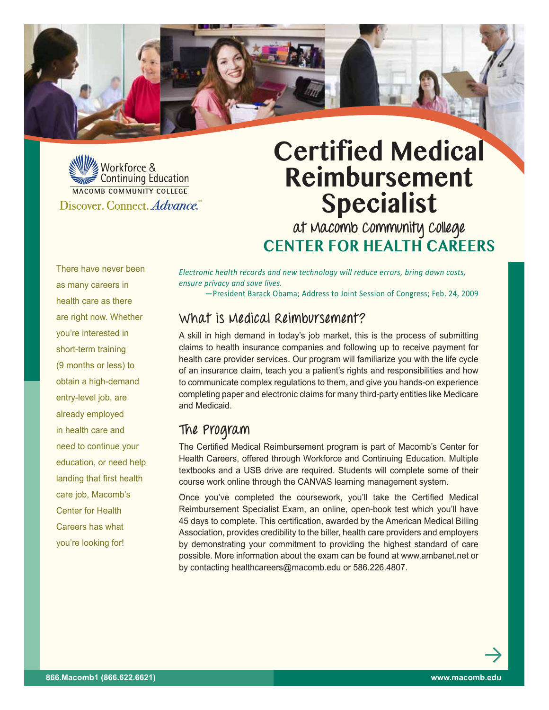

We Workforce & MACOMB COMMUNITY COLLEGE Discover, Connect. Advance.

# **Certified Medical Reimbursement Specialist**

**at Macomb Community College Center for Health Careers**

There have never been as many careers in health care as there are right now. Whether you're interested in short-term training (9 months or less) to obtain a high-demand entry-level job, are already employed in health care and need to continue your education, or need help landing that first health care job, Macomb's Center for Health Careers has what you're looking for!

*Electronic health records and new technology will reduce errors, bring down costs, ensure privacy and save lives.*

—President Barack Obama; Address to Joint Session of Congress; Feb. 24, 2009

### **What is Medical Reimbursement?**

A skill in high demand in today's job market, this is the process of submitting claims to health insurance companies and following up to receive payment for health care provider services. Our program will familiarize you with the life cycle of an insurance claim, teach you a patient's rights and responsibilities and how to communicate complex regulations to them, and give you hands-on experience completing paper and electronic claims for many third-party entities like Medicare and Medicaid.

# **The Program**

The Certified Medical Reimbursement program is part of Macomb's Center for Health Careers, offered through Workforce and Continuing Education. Multiple textbooks and a USB drive are required. Students will complete some of their course work online through the CANVAS learning management system.

Once you've completed the coursework, you'll take the Certified Medical Reimbursement Specialist Exam, an online, open-book test which you'll have 45 days to complete. This certification, awarded by the American Medical Billing Association, provides credibility to the biller, health care providers and employers by demonstrating your commitment to providing the highest standard of care possible. More information about the exam can be found at www.ambanet.net or by contacting healthcareers@macomb.edu or 586.226.4807.